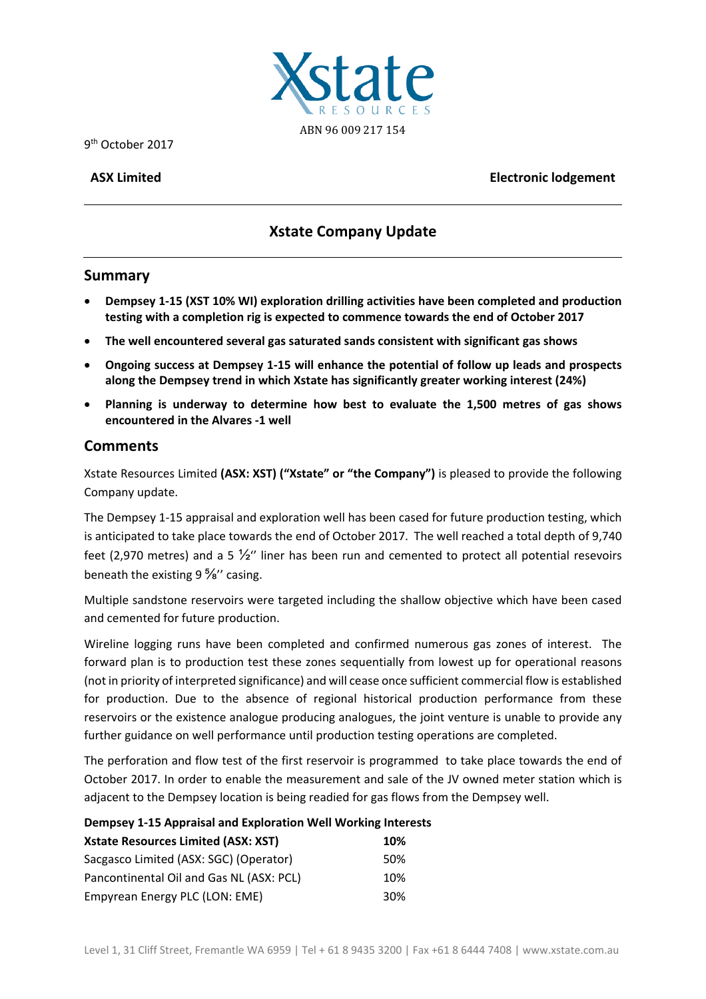

9th October 2017

**ASX Limited Electronic lodgement**

# **Xstate Company Update**

# **Summary**

- **Dempsey 1‐15 (XST 10% WI) exploration drilling activities have been completed and production testing with a completion rig is expected to commence towards the end of October 2017**
- **The well encountered several gas saturated sands consistent with significant gas shows**
- **Ongoing success at Dempsey 1‐15 will enhance the potential of follow up leads and prospects along the Dempsey trend in which Xstate has significantly greater working interest (24%)**
- **Planning is underway to determine how best to evaluate the 1,500 metres of gas shows encountered in the Alvares ‐1 well**

# **Comments**

Xstate Resources Limited **(ASX: XST) ("Xstate" or "the Company")** is pleased to provide the following Company update.

The Dempsey 1‐15 appraisal and exploration well has been cased for future production testing, which is anticipated to take place towards the end of October 2017. The well reached a total depth of 9,740 feet (2.970 metres) and a 5  $\frac{1}{2}$ " liner has been run and cemented to protect all potential resevoirs beneath the existing 9 %" casing.

Multiple sandstone reservoirs were targeted including the shallow objective which have been cased and cemented for future production.

Wireline logging runs have been completed and confirmed numerous gas zones of interest. The forward plan is to production test these zones sequentially from lowest up for operational reasons (not in priority of interpreted significance) and will cease once sufficient commercial flow is established for production. Due to the absence of regional historical production performance from these reservoirs or the existence analogue producing analogues, the joint venture is unable to provide any further guidance on well performance until production testing operations are completed.

The perforation and flow test of the first reservoir is programmed to take place towards the end of October 2017. In order to enable the measurement and sale of the JV owned meter station which is adjacent to the Dempsey location is being readied for gas flows from the Dempsey well.

# **Dempsey 1‐15 Appraisal and Exploration Well Working Interests**

| <b>Xstate Resources Limited (ASX: XST)</b> | 10% |  |
|--------------------------------------------|-----|--|
| Sacgasco Limited (ASX: SGC) (Operator)     | 50% |  |
| Pancontinental Oil and Gas NL (ASX: PCL)   | 10% |  |
| Empyrean Energy PLC (LON: EME)             | 30% |  |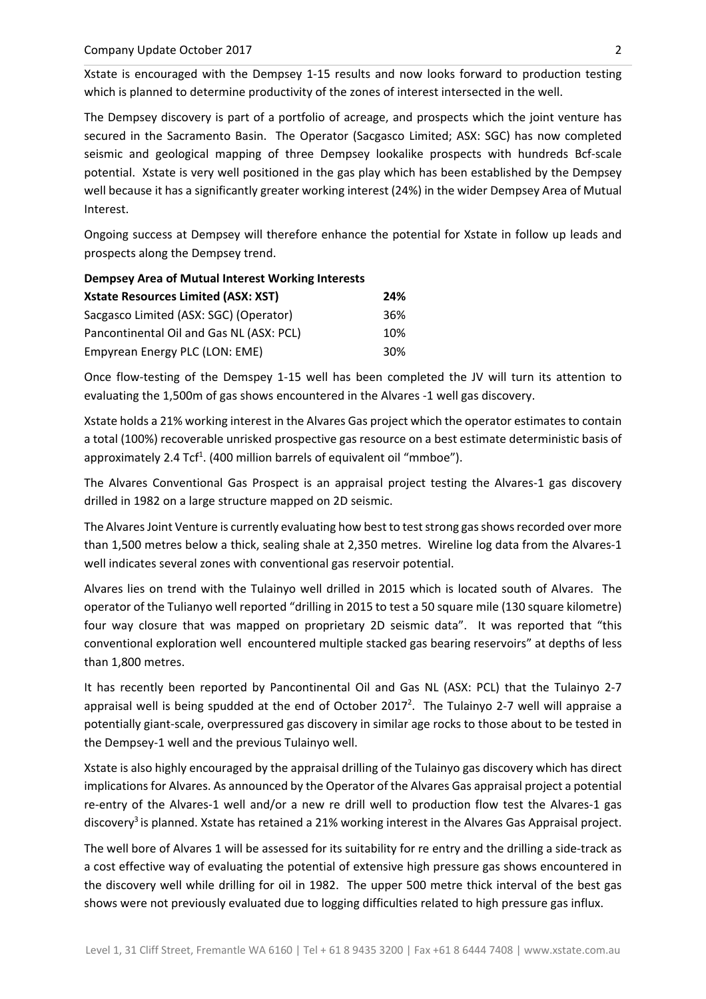Xstate is encouraged with the Dempsey 1‐15 results and now looks forward to production testing which is planned to determine productivity of the zones of interest intersected in the well.

The Dempsey discovery is part of a portfolio of acreage, and prospects which the joint venture has secured in the Sacramento Basin. The Operator (Sacgasco Limited; ASX: SGC) has now completed seismic and geological mapping of three Dempsey lookalike prospects with hundreds Bcf‐scale potential. Xstate is very well positioned in the gas play which has been established by the Dempsey well because it has a significantly greater working interest (24%) in the wider Dempsey Area of Mutual Interest.

Ongoing success at Dempsey will therefore enhance the potential for Xstate in follow up leads and prospects along the Dempsey trend.

| <b>Dempsey Area of Mutual Interest Working Interests</b> |     |  |
|----------------------------------------------------------|-----|--|
| <b>Xstate Resources Limited (ASX: XST)</b>               | 24% |  |
| Sacgasco Limited (ASX: SGC) (Operator)                   | 36% |  |
| Pancontinental Oil and Gas NL (ASX: PCL)                 | 10% |  |
| Empyrean Energy PLC (LON: EME)                           | 30% |  |

Once flow-testing of the Demspey 1-15 well has been completed the JV will turn its attention to evaluating the 1,500m of gas shows encountered in the Alvares ‐1 well gas discovery.

Xstate holds a 21% working interest in the Alvares Gas project which the operator estimates to contain a total (100%) recoverable unrisked prospective gas resource on a best estimate deterministic basis of approximately 2.4 Tcf<sup>1</sup>. (400 million barrels of equivalent oil "mmboe").

The Alvares Conventional Gas Prospect is an appraisal project testing the Alvares‐1 gas discovery drilled in 1982 on a large structure mapped on 2D seismic.

The Alvares Joint Venture is currently evaluating how best to test strong gas shows recorded over more than 1,500 metres below a thick, sealing shale at 2,350 metres. Wireline log data from the Alvares‐1 well indicates several zones with conventional gas reservoir potential.

Alvares lies on trend with the Tulainyo well drilled in 2015 which is located south of Alvares. The operator of the Tulianyo well reported "drilling in 2015 to test a 50 square mile (130 square kilometre) four way closure that was mapped on proprietary 2D seismic data". It was reported that "this conventional exploration well encountered multiple stacked gas bearing reservoirs" at depths of less than 1,800 metres.

It has recently been reported by Pancontinental Oil and Gas NL (ASX: PCL) that the Tulainyo 2‐7 appraisal well is being spudded at the end of October 2017<sup>2</sup>. The Tulainyo 2-7 well will appraise a potentially giant‐scale, overpressured gas discovery in similar age rocks to those about to be tested in the Dempsey‐1 well and the previous Tulainyo well.

Xstate is also highly encouraged by the appraisal drilling of the Tulainyo gas discovery which has direct implications for Alvares. As announced by the Operator of the Alvares Gas appraisal project a potential re-entry of the Alvares-1 well and/or a new re drill well to production flow test the Alvares-1 gas discovery<sup>3</sup> is planned. Xstate has retained a 21% working interest in the Alvares Gas Appraisal project.

The well bore of Alvares 1 will be assessed for its suitability for re entry and the drilling a side-track as a cost effective way of evaluating the potential of extensive high pressure gas shows encountered in the discovery well while drilling for oil in 1982. The upper 500 metre thick interval of the best gas shows were not previously evaluated due to logging difficulties related to high pressure gas influx.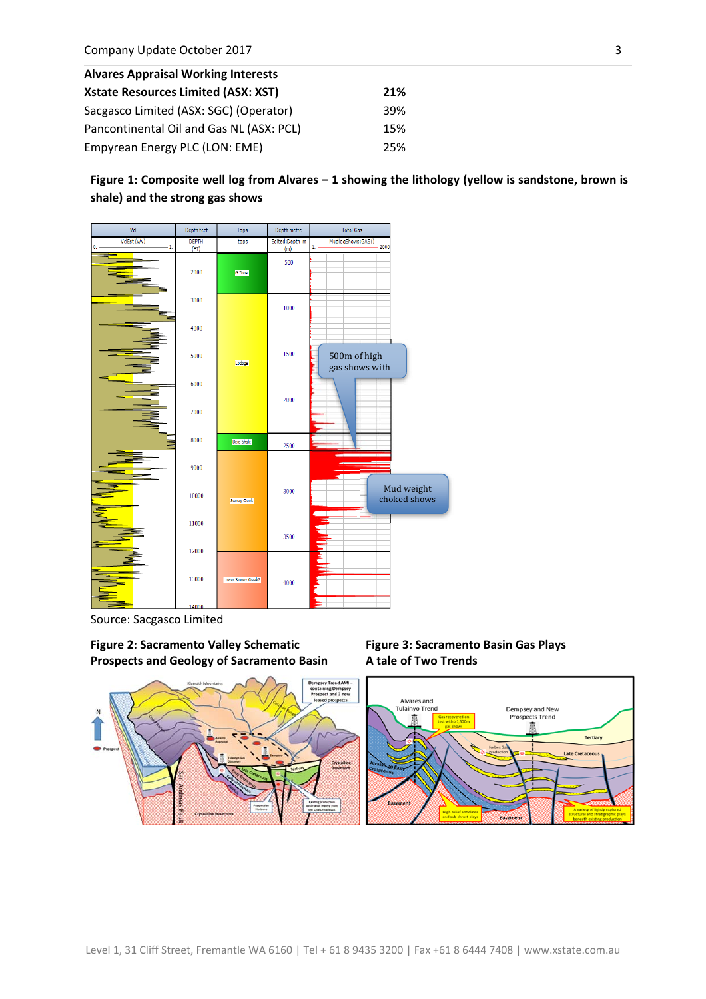| <b>Alvares Appraisal Working Interests</b> |     |  |
|--------------------------------------------|-----|--|
| <b>Xstate Resources Limited (ASX: XST)</b> | 21% |  |
| Sacgasco Limited (ASX: SGC) (Operator)     | 39% |  |
| Pancontinental Oil and Gas NL (ASX: PCL)   | 15% |  |
| Empyrean Energy PLC (LON: EME)             | 25% |  |

**Figure 1: Composite well log from Alvares – 1 showing the lithology (yellow is sandstone, brown is shale) and the strong gas shows**



Source: Sacgasco Limited

**Figure 2: Sacramento Valley Schematic Prospects and Geology of Sacramento Basin**



**Figure 3: Sacramento Basin Gas Plays A tale of Two Trends**

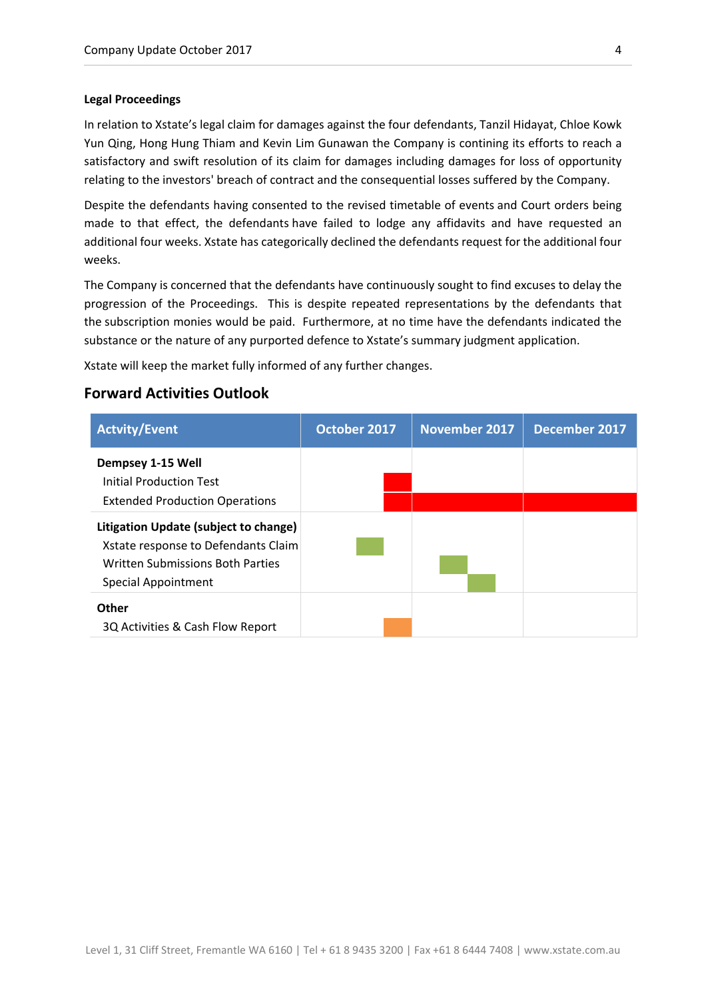### **Legal Proceedings**

In relation to Xstate's legal claim for damages against the four defendants, Tanzil Hidayat, Chloe Kowk Yun Qing, Hong Hung Thiam and Kevin Lim Gunawan the Company is contining its efforts to reach a satisfactory and swift resolution of its claim for damages including damages for loss of opportunity relating to the investors' breach of contract and the consequential losses suffered by the Company.

Despite the defendants having consented to the revised timetable of events and Court orders being made to that effect, the defendants have failed to lodge any affidavits and have requested an additional four weeks. Xstate has categorically declined the defendants request for the additional four weeks.

The Company is concerned that the defendants have continuously sought to find excuses to delay the progression of the Proceedings. This is despite repeated representations by the defendants that the subscription monies would be paid. Furthermore, at no time have the defendants indicated the substance or the nature of any purported defence to Xstate's summary judgment application.

Xstate will keep the market fully informed of any further changes.

# **Forward Activities Outlook**

| <b>Actvity/Event</b>                                                                                                                    | October 2017 | <b>November 2017</b> | December 2017 |
|-----------------------------------------------------------------------------------------------------------------------------------------|--------------|----------------------|---------------|
| Dempsey 1-15 Well<br><b>Initial Production Test</b><br><b>Extended Production Operations</b>                                            |              |                      |               |
| Litigation Update (subject to change)<br>Xstate response to Defendants Claim<br>Written Submissions Both Parties<br>Special Appointment |              |                      |               |
| <b>Other</b><br>3Q Activities & Cash Flow Report                                                                                        |              |                      |               |